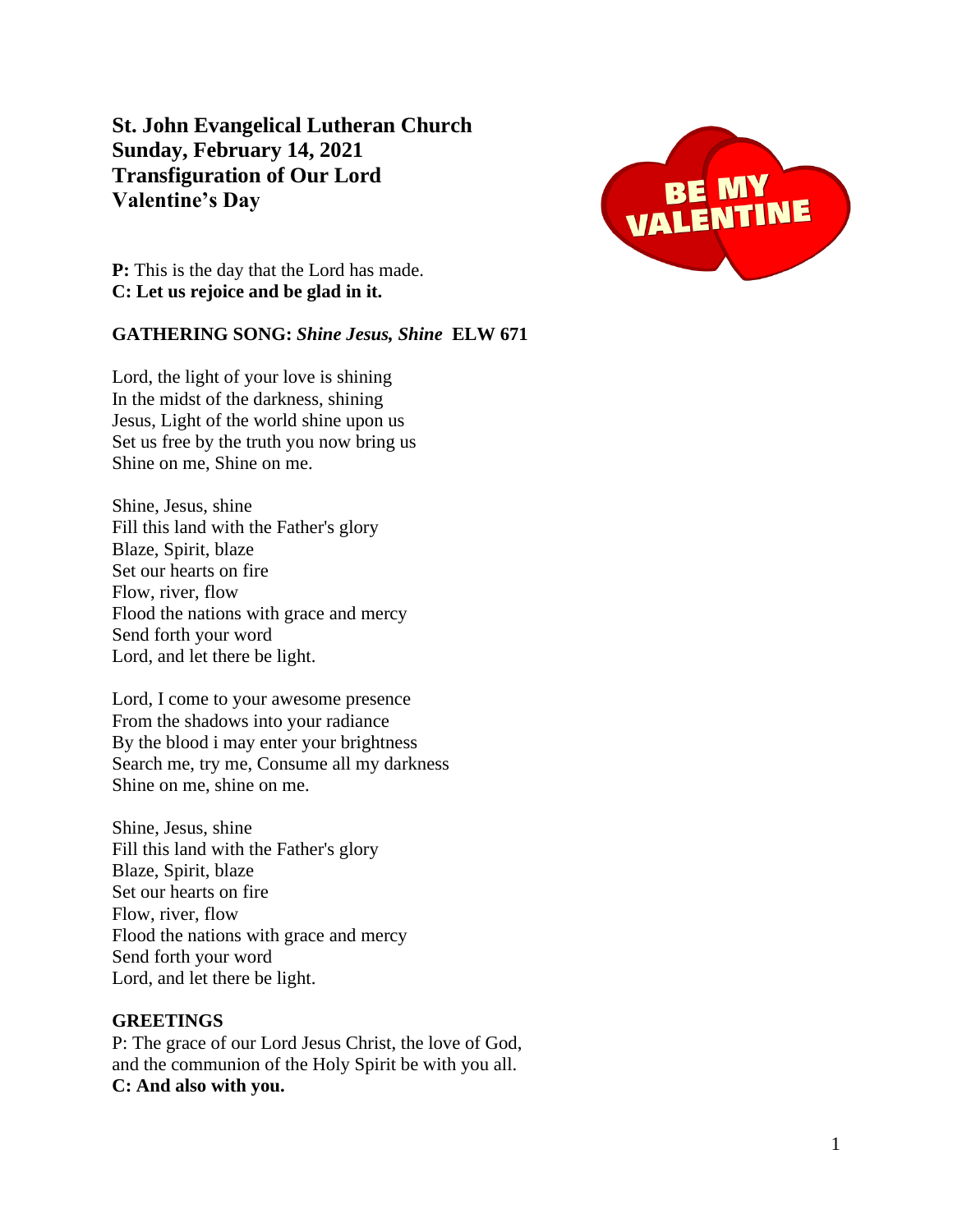**St. John Evangelical Lutheran Church Sunday, February 14, 2021 Transfiguration of Our Lord Valentine's Day**



**P:** This is the day that the Lord has made. **C: Let us rejoice and be glad in it.**

# **GATHERING SONG:** *Shine Jesus, Shine* **ELW 671**

Lord, the light of your love is shining In the midst of the darkness, shining Jesus, Light of the world shine upon us Set us free by the truth you now bring us Shine on me, Shine on me.

Shine, Jesus, shine Fill this land with the Father's glory Blaze, Spirit, blaze Set our hearts on fire Flow, river, flow Flood the nations with grace and mercy Send forth your word Lord, and let there be light.

Lord, I come to your awesome presence From the shadows into your radiance By the blood i may enter your brightness Search me, try me, Consume all my darkness Shine on me, shine on me.

Shine, Jesus, shine Fill this land with the Father's glory Blaze, Spirit, blaze Set our hearts on fire Flow, river, flow Flood the nations with grace and mercy Send forth your word Lord, and let there be light.

#### **GREETINGS**

P: The grace of our Lord Jesus Christ, the love of God, and the communion of the Holy Spirit be with you all. **C: And also with you.**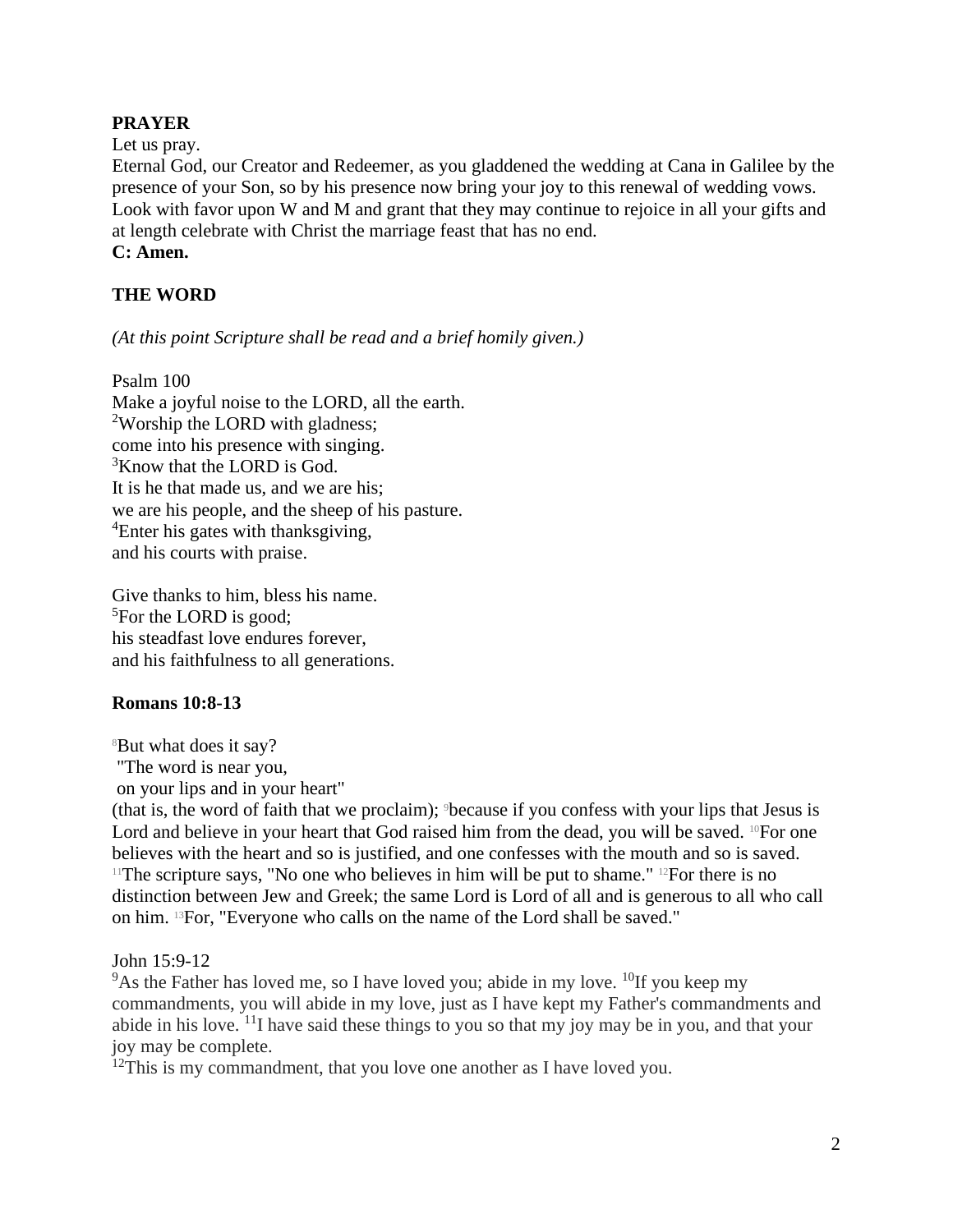# **PRAYER**

Let us pray.

Eternal God, our Creator and Redeemer, as you gladdened the wedding at Cana in Galilee by the presence of your Son, so by his presence now bring your joy to this renewal of wedding vows. Look with favor upon W and M and grant that they may continue to rejoice in all your gifts and at length celebrate with Christ the marriage feast that has no end. **C: Amen.**

# **THE WORD**

*(At this point Scripture shall be read and a brief homily given.)*

Psalm 100 Make a joyful noise to the LORD, all the earth. <sup>2</sup>Worship the LORD with gladness; come into his presence with singing.  $3$ Know that the LORD is God. It is he that made us, and we are his; we are his people, and the sheep of his pasture. <sup>4</sup>Enter his gates with thanksgiving, and his courts with praise.

Give thanks to him, bless his name. <sup>5</sup>For the LORD is good; his steadfast love endures forever, and his faithfulness to all generations.

#### **Romans 10:8-13**

<sup>8</sup>But what does it say?

"The word is near you,

on your lips and in your heart"

(that is, the word of faith that we proclaim); 9because if you confess with your lips that Jesus is Lord and believe in your heart that God raised him from the dead, you will be saved.  $^{10}$ For one believes with the heart and so is justified, and one confesses with the mouth and so is saved. <sup>11</sup>The scripture says, "No one who believes in him will be put to shame." <sup>12</sup>For there is no distinction between Jew and Greek; the same Lord is Lord of all and is generous to all who call on him. 13For, "Everyone who calls on the name of the Lord shall be saved."

John 15:9-12

 $9^9$ As the Father has loved me, so I have loved you; abide in my love. <sup>10</sup>If you keep my commandments, you will abide in my love, just as I have kept my Father's commandments and abide in his love. <sup>11</sup>I have said these things to you so that my joy may be in you, and that your joy may be complete.

 $12$ This is my commandment, that you love one another as I have loved you.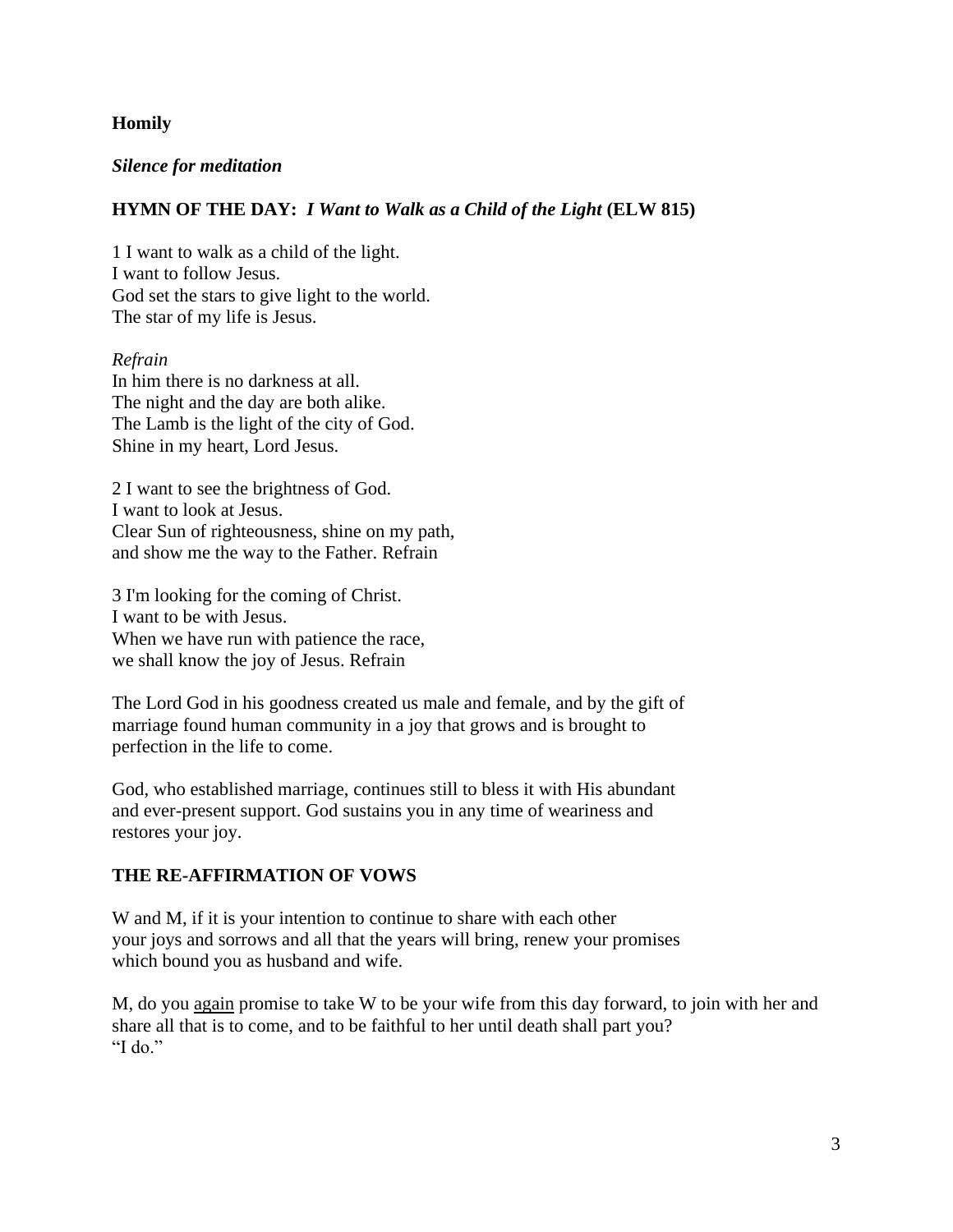# **Homily**

#### *Silence for meditation*

#### **HYMN OF THE DAY:** *I Want to Walk as a Child of the Light* **(ELW 815)**

1 I want to walk as a child of the light. I want to follow Jesus. God set the stars to give light to the world. The star of my life is Jesus.

#### *Refrain*

In him there is no darkness at all. The night and the day are both alike. The Lamb is the light of the city of God. Shine in my heart, Lord Jesus.

2 I want to see the brightness of God. I want to look at Jesus. Clear Sun of righteousness, shine on my path, and show me the way to the Father. Refrain

3 I'm looking for the coming of Christ. I want to be with Jesus. When we have run with patience the race, we shall know the joy of Jesus. Refrain

The Lord God in his goodness created us male and female, and by the gift of marriage found human community in a joy that grows and is brought to perfection in the life to come.

God, who established marriage, continues still to bless it with His abundant and ever-present support. God sustains you in any time of weariness and restores your joy.

#### **THE RE-AFFIRMATION OF VOWS**

W and M, if it is your intention to continue to share with each other your joys and sorrows and all that the years will bring, renew your promises which bound you as husband and wife.

M, do you again promise to take W to be your wife from this day forward, to join with her and share all that is to come, and to be faithful to her until death shall part you? "I do."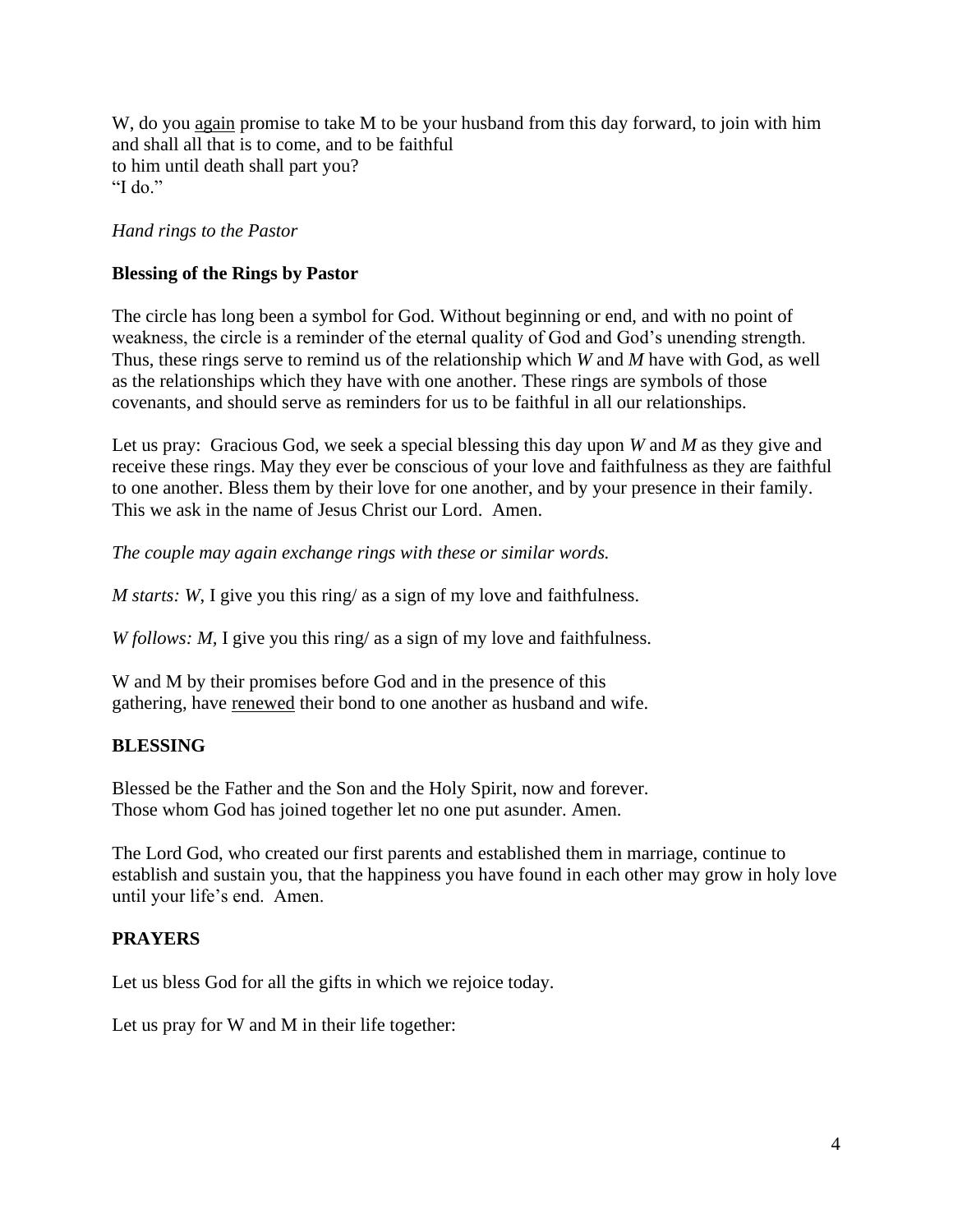W, do you again promise to take M to be your husband from this day forward, to join with him and shall all that is to come, and to be faithful to him until death shall part you? "I do."

# *Hand rings to the Pastor*

# **Blessing of the Rings by Pastor**

The circle has long been a symbol for God. Without beginning or end, and with no point of weakness, the circle is a reminder of the eternal quality of God and God's unending strength. Thus, these rings serve to remind us of the relationship which *W* and *M* have with God, as well as the relationships which they have with one another. These rings are symbols of those covenants, and should serve as reminders for us to be faithful in all our relationships.

Let us pray: Gracious God, we seek a special blessing this day upon *W* and *M* as they give and receive these rings. May they ever be conscious of your love and faithfulness as they are faithful to one another. Bless them by their love for one another, and by your presence in their family. This we ask in the name of Jesus Christ our Lord. Amen.

*The couple may again exchange rings with these or similar words.*

*M starts: W*, I give you this ring/ as a sign of my love and faithfulness.

*W follows: M,* I give you this ring/ as a sign of my love and faithfulness.

W and M by their promises before God and in the presence of this gathering, have renewed their bond to one another as husband and wife.

# **BLESSING**

Blessed be the Father and the Son and the Holy Spirit, now and forever. Those whom God has joined together let no one put asunder. Amen.

The Lord God, who created our first parents and established them in marriage, continue to establish and sustain you, that the happiness you have found in each other may grow in holy love until your life's end. Amen.

#### **PRAYERS**

Let us bless God for all the gifts in which we rejoice today.

Let us pray for W and M in their life together: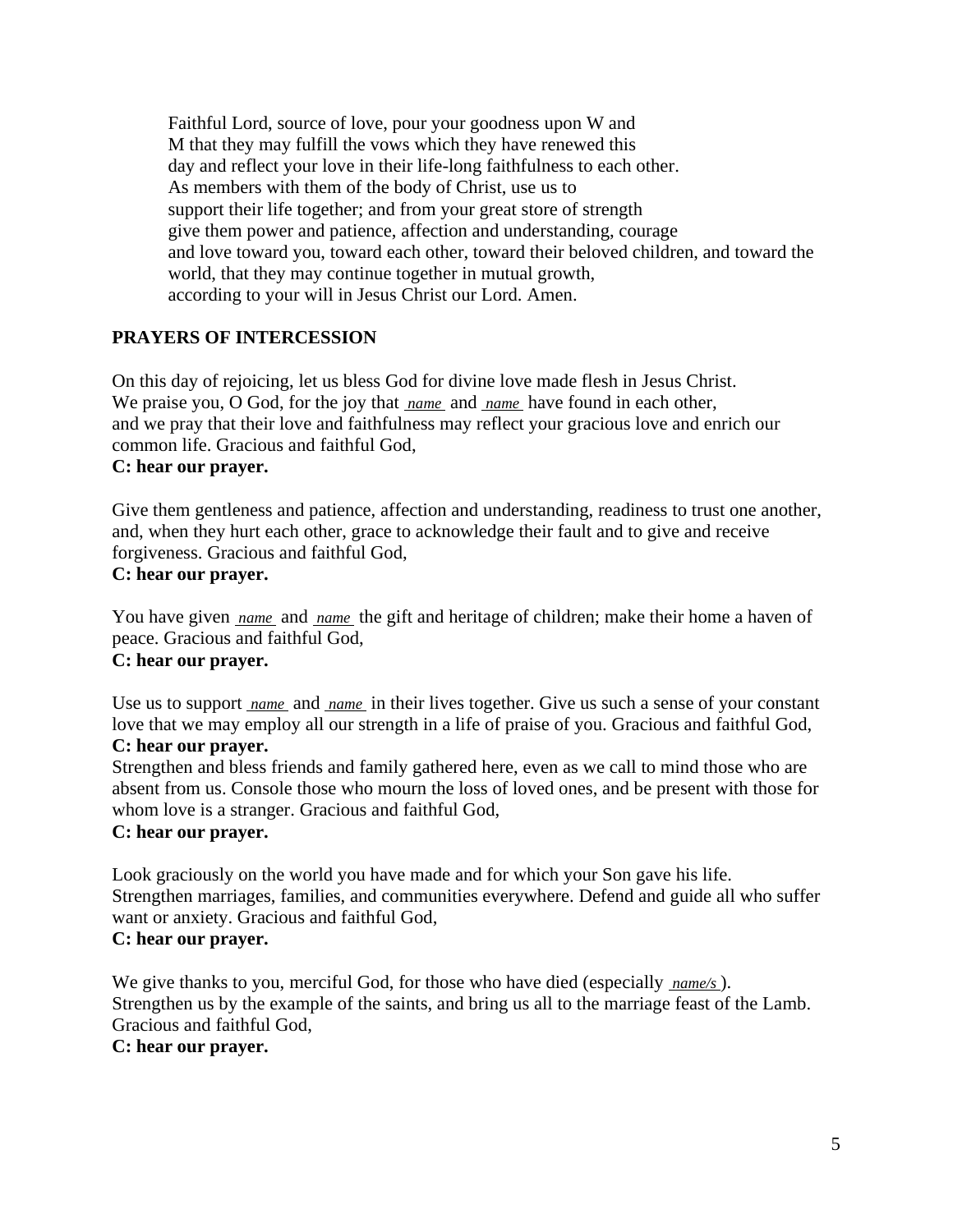Faithful Lord, source of love, pour your goodness upon W and M that they may fulfill the vows which they have renewed this day and reflect your love in their life-long faithfulness to each other. As members with them of the body of Christ, use us to support their life together; and from your great store of strength give them power and patience, affection and understanding, courage and love toward you, toward each other, toward their beloved children, and toward the world, that they may continue together in mutual growth, according to your will in Jesus Christ our Lord. Amen.

# **PRAYERS OF INTERCESSION**

On this day of rejoicing, let us bless God for divine love made flesh in Jesus Christ. We praise you, O God, for the joy that *name* and *name* have found in each other, and we pray that their love and faithfulness may reflect your gracious love and enrich our common life. Gracious and faithful God, **C: hear our prayer.**

Give them gentleness and patience, affection and understanding, readiness to trust one another, and, when they hurt each other, grace to acknowledge their fault and to give and receive forgiveness. Gracious and faithful God, **C: hear our prayer.**

You have given *name* and *name* the gift and heritage of children; make their home a haven of peace. Gracious and faithful God,

# **C: hear our prayer.**

Use us to support *name* and *name* in their lives together. Give us such a sense of your constant love that we may employ all our strength in a life of praise of you. Gracious and faithful God,

# **C: hear our prayer.**

Strengthen and bless friends and family gathered here, even as we call to mind those who are absent from us. Console those who mourn the loss of loved ones, and be present with those for whom love is a stranger. Gracious and faithful God,

# **C: hear our prayer.**

Look graciously on the world you have made and for which your Son gave his life. Strengthen marriages, families, and communities everywhere. Defend and guide all who suffer want or anxiety. Gracious and faithful God, **C: hear our prayer.**

We give thanks to you, merciful God, for those who have died (especially *name/s* ). Strengthen us by the example of the saints, and bring us all to the marriage feast of the Lamb. Gracious and faithful God, **C: hear our prayer.**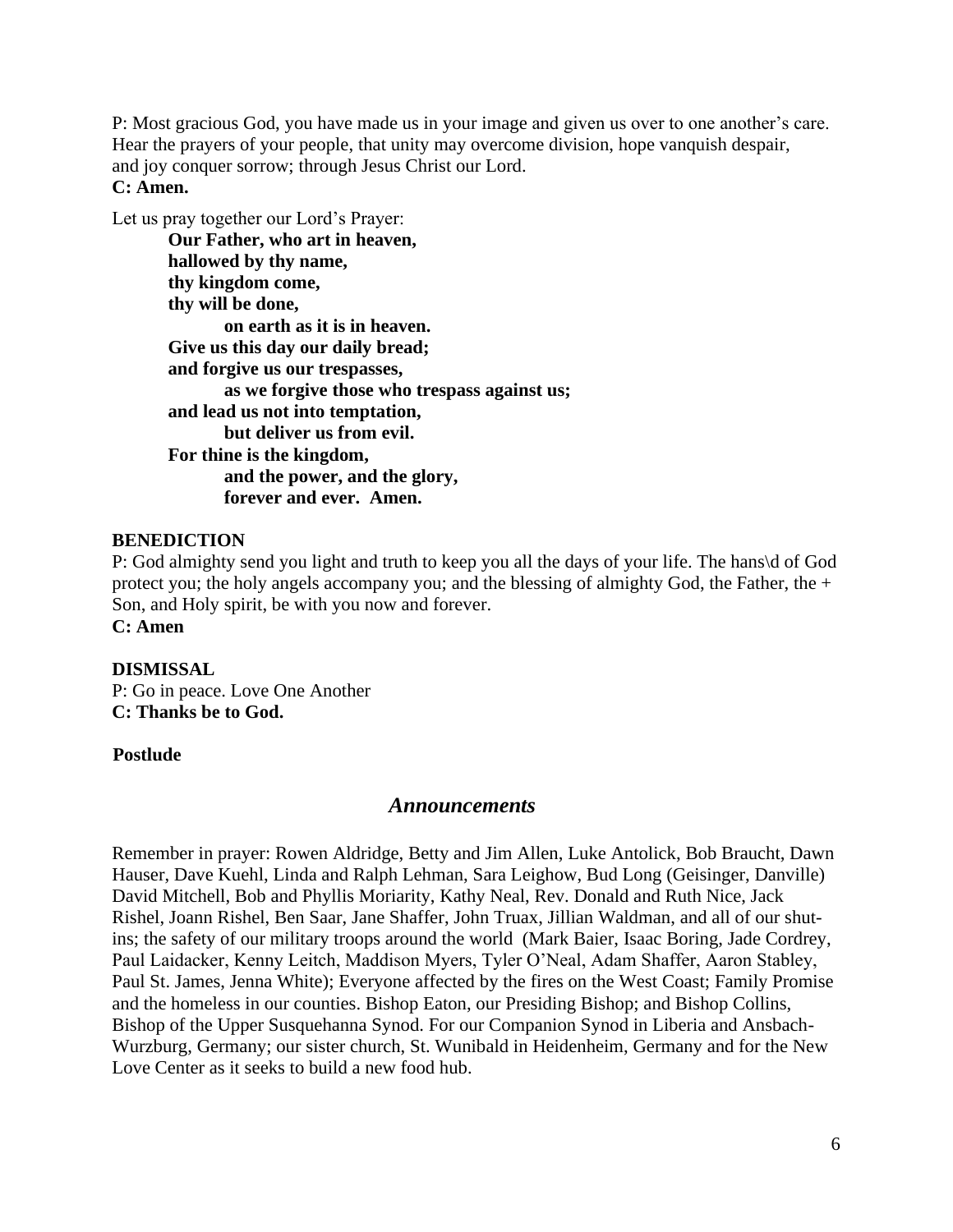P: Most gracious God, you have made us in your image and given us over to one another's care. Hear the prayers of your people, that unity may overcome division, hope vanquish despair, and joy conquer sorrow; through Jesus Christ our Lord. **C: Amen.**

Let us pray together our Lord's Prayer:

**Our Father, who art in heaven, hallowed by thy name, thy kingdom come, thy will be done, on earth as it is in heaven. Give us this day our daily bread; and forgive us our trespasses, as we forgive those who trespass against us; and lead us not into temptation, but deliver us from evil. For thine is the kingdom, and the power, and the glory, forever and ever. Amen.**

#### **BENEDICTION**

P: God almighty send you light and truth to keep you all the days of your life. The hans\d of God protect you; the holy angels accompany you; and the blessing of almighty God, the Father, the + Son, and Holy spirit, be with you now and forever. **C: Amen**

#### **DISMISSAL**

P: Go in peace. Love One Another **C: Thanks be to God.**

#### **Postlude**

#### *Announcements*

Remember in prayer: Rowen Aldridge, Betty and Jim Allen, Luke Antolick, Bob Braucht, Dawn Hauser, Dave Kuehl, Linda and Ralph Lehman, Sara Leighow, Bud Long (Geisinger, Danville) David Mitchell, Bob and Phyllis Moriarity, Kathy Neal, Rev. Donald and Ruth Nice, Jack Rishel, Joann Rishel, Ben Saar, Jane Shaffer, John Truax, Jillian Waldman, and all of our shutins; the safety of our military troops around the world (Mark Baier, Isaac Boring, Jade Cordrey, Paul Laidacker, Kenny Leitch, Maddison Myers, Tyler O'Neal, Adam Shaffer, Aaron Stabley, Paul St. James, Jenna White); Everyone affected by the fires on the West Coast; Family Promise and the homeless in our counties. Bishop Eaton, our Presiding Bishop; and Bishop Collins, Bishop of the Upper Susquehanna Synod. For our Companion Synod in Liberia and Ansbach-Wurzburg, Germany; our sister church, St. Wunibald in Heidenheim, Germany and for the New Love Center as it seeks to build a new food hub.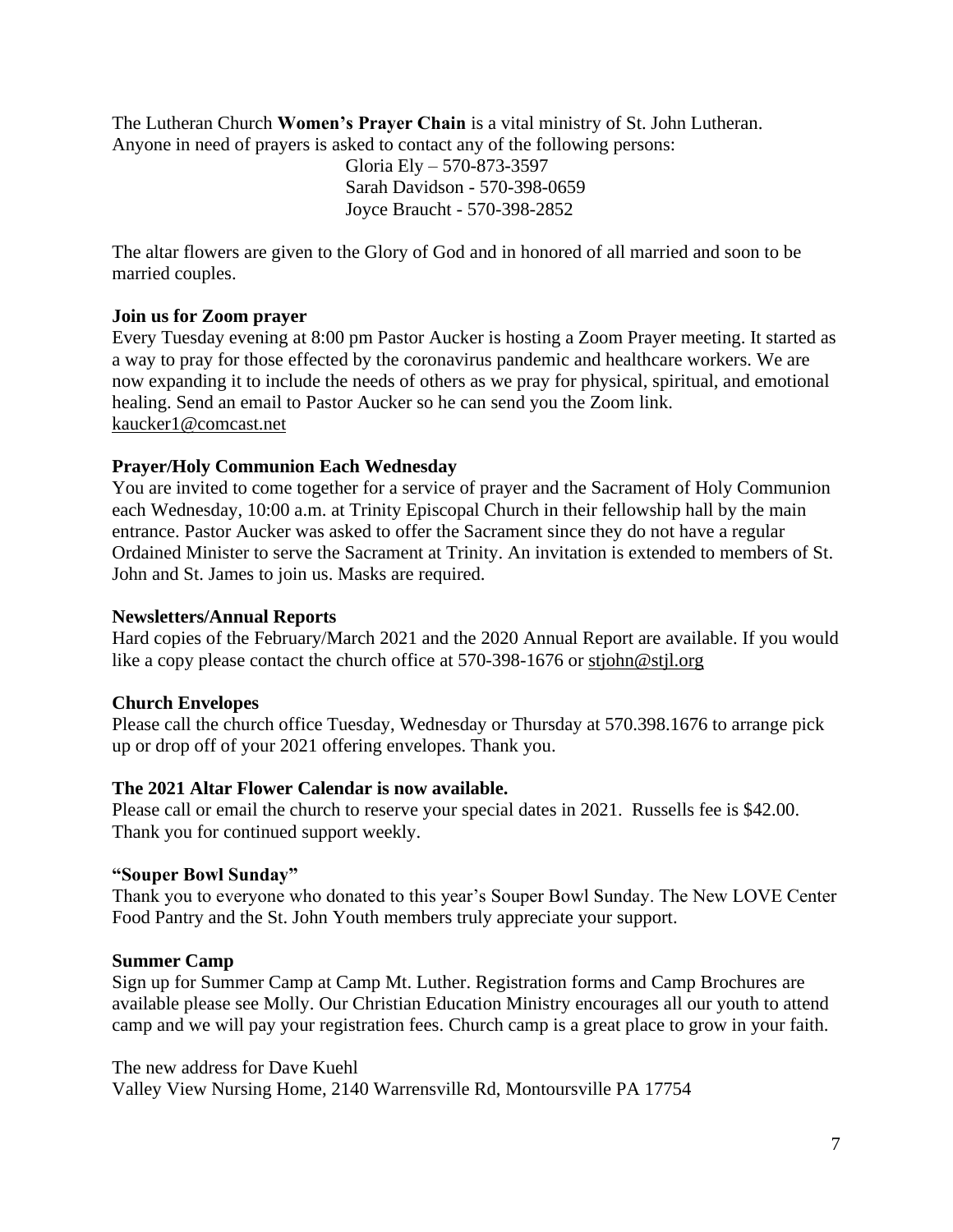The Lutheran Church **Women's Prayer Chain** is a vital ministry of St. John Lutheran. Anyone in need of prayers is asked to contact any of the following persons:

 Gloria Ely – 570-873-3597 Sarah Davidson - 570-398-0659 Joyce Braucht - 570-398-2852

The altar flowers are given to the Glory of God and in honored of all married and soon to be married couples.

# **Join us for Zoom prayer**

Every Tuesday evening at 8:00 pm Pastor Aucker is hosting a Zoom Prayer meeting. It started as a way to pray for those effected by the coronavirus pandemic and healthcare workers. We are now expanding it to include the needs of others as we pray for physical, spiritual, and emotional healing. Send an email to Pastor Aucker so he can send you the Zoom link. [kaucker1@comcast.net](mailto:kaucker1@comcast.net)

# **Prayer/Holy Communion Each Wednesday**

You are invited to come together for a service of prayer and the Sacrament of Holy Communion each Wednesday, 10:00 a.m. at Trinity Episcopal Church in their fellowship hall by the main entrance. Pastor Aucker was asked to offer the Sacrament since they do not have a regular Ordained Minister to serve the Sacrament at Trinity. An invitation is extended to members of St. John and St. James to join us. Masks are required.

# **Newsletters/Annual Reports**

Hard copies of the February/March 2021 and the 2020 Annual Report are available. If you would like a copy please contact the church office at 570-398-1676 or [stjohn@stjl.org](mailto:stjohn@stjl.org)

# **Church Envelopes**

Please call the church office Tuesday, Wednesday or Thursday at 570.398.1676 to arrange pick up or drop off of your 2021 offering envelopes. Thank you.

# **The 2021 Altar Flower Calendar is now available.**

Please call or email the church to reserve your special dates in 2021. Russells fee is \$42.00. Thank you for continued support weekly.

# **"Souper Bowl Sunday"**

Thank you to everyone who donated to this year's Souper Bowl Sunday. The New LOVE Center Food Pantry and the St. John Youth members truly appreciate your support.

# **Summer Camp**

Sign up for Summer Camp at Camp Mt. Luther. Registration forms and Camp Brochures are available please see Molly. Our Christian Education Ministry encourages all our youth to attend camp and we will pay your registration fees. Church camp is a great place to grow in your faith.

The new address for Dave Kuehl Valley View Nursing Home, 2140 Warrensville Rd, Montoursville PA 17754